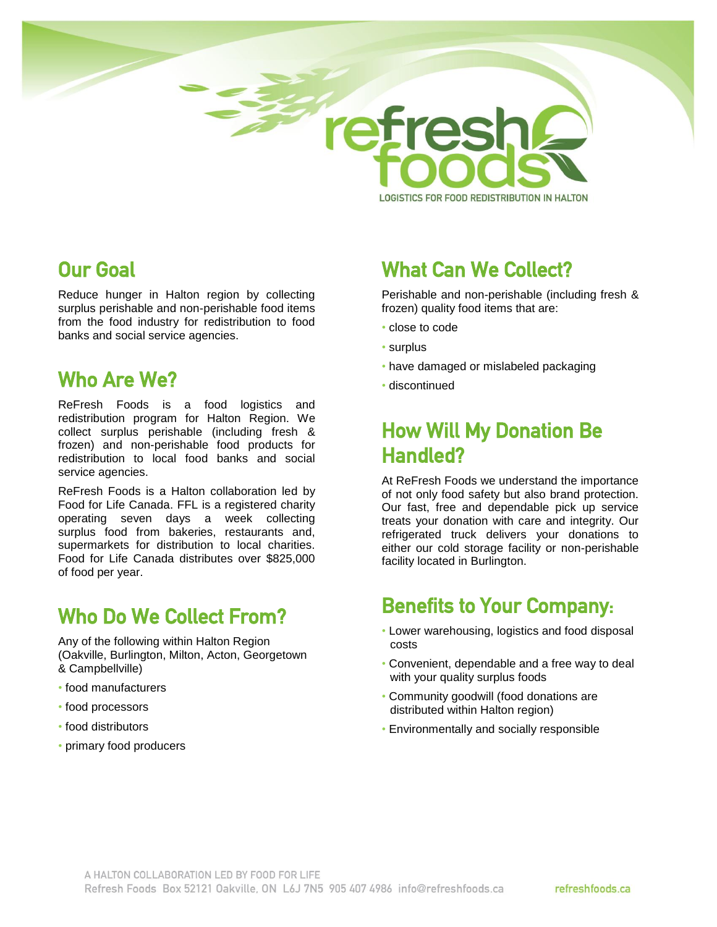

LOGISTICS FOR FOOD REDISTRIBUTION IN HALTON

#### Our Goal

Reduce hunger in Halton region by collecting surplus perishable and non-perishable food items from the food industry for redistribution to food banks and social service agencies.

#### Who Are We?

ReFresh Foods is a food logistics and redistribution program for Halton Region. We collect surplus perishable (including fresh & frozen) and non-perishable food products for redistribution to local food banks and social service agencies.

ReFresh Foods is a Halton collaboration led by Food for Life Canada. FFL is a registered charity operating seven days a week collecting surplus food from bakeries, restaurants and, supermarkets for distribution to local charities. Food for Life Canada distributes over \$825,000 of food per year.

# Who Do We Collect From?

Any of the following within Halton Region (Oakville, Burlington, Milton, Acton, Georgetown & Campbellville)

- food manufacturers
- food processors
- food distributors
- primary food producers

# What Can We Collect?

Perishable and non-perishable (including fresh & frozen) quality food items that are:

- close to code
- surplus
- have damaged or mislabeled packaging
- discontinued

# How Will My Donation Be Handled?

At ReFresh Foods we understand the importance of not only food safety but also brand protection. Our fast, free and dependable pick up service treats your donation with care and integrity. Our refrigerated truck delivers your donations to either our cold storage facility or non-perishable facility located in Burlington.

### Benefits to Your Company:

- Lower warehousing, logistics and food disposal costs
- Convenient, dependable and a free way to deal with your quality surplus foods
- Community goodwill (food donations are distributed within Halton region)
- Environmentally and socially responsible